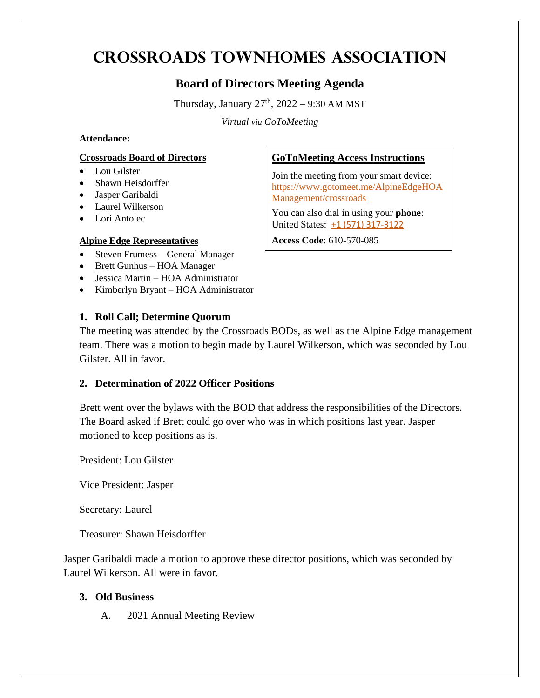# **Crossroads Townhomes Association**

## **Board of Directors Meeting Agenda**

Thursday, January  $27<sup>th</sup>$ ,  $2022 - 9:30$  AM MST

*Virtual via GoToMeeting*

#### **Attendance:**

#### **Crossroads Board of Directors**

- Lou Gilster
- Shawn Heisdorffer
- Jasper Garibaldi
- Laurel Wilkerson
- Lori Antolec

#### **Alpine Edge Representatives**

- Steven Frumess General Manager
- Brett Gunhus HOA Manager
- Jessica Martin HOA Administrator
- Kimberlyn Bryant HOA Administrator

#### **1. Roll Call; Determine Quorum**

### **GoToMeeting Access Instructions**

Join the meeting from your smart device: [https://www.gotomeet.me/AlpineEdgeHOA](https://www.gotomeet.me/AlpineEdgeHOAManagement/crossroads) [Management/crossroads](https://www.gotomeet.me/AlpineEdgeHOAManagement/crossroads)

You can also dial in using your **phone**: United States: [+1 \(571\) 317-3122](tel:+15713173122,,610570085)

**Access Code**: 610-570-085

The meeting was attended by the Crossroads BODs, as well as the Alpine Edge management team. There was a motion to begin made by Laurel Wilkerson, which was seconded by Lou Gilster. All in favor.

#### **2. Determination of 2022 Officer Positions**

Brett went over the bylaws with the BOD that address the responsibilities of the Directors. The Board asked if Brett could go over who was in which positions last year. Jasper motioned to keep positions as is.

President: Lou Gilster

Vice President: Jasper

Secretary: Laurel

Treasurer: Shawn Heisdorffer

Jasper Garibaldi made a motion to approve these director positions, which was seconded by Laurel Wilkerson. All were in favor.

#### **3. Old Business**

A. 2021 Annual Meeting Review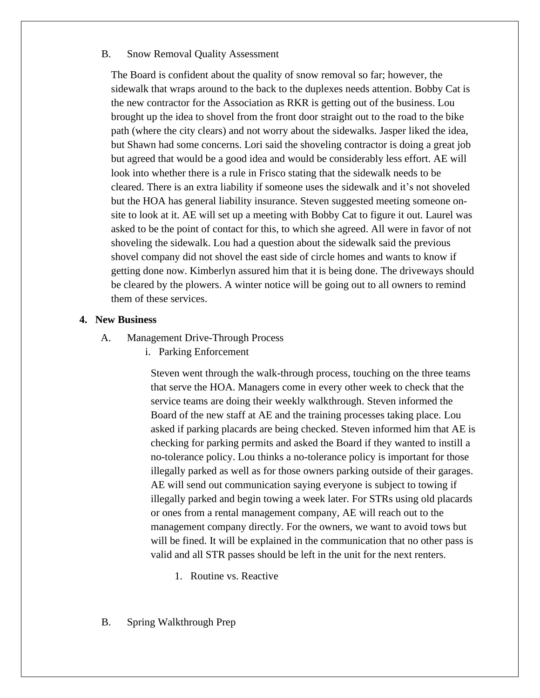#### B. Snow Removal Quality Assessment

The Board is confident about the quality of snow removal so far; however, the sidewalk that wraps around to the back to the duplexes needs attention. Bobby Cat is the new contractor for the Association as RKR is getting out of the business. Lou brought up the idea to shovel from the front door straight out to the road to the bike path (where the city clears) and not worry about the sidewalks. Jasper liked the idea, but Shawn had some concerns. Lori said the shoveling contractor is doing a great job but agreed that would be a good idea and would be considerably less effort. AE will look into whether there is a rule in Frisco stating that the sidewalk needs to be cleared. There is an extra liability if someone uses the sidewalk and it's not shoveled but the HOA has general liability insurance. Steven suggested meeting someone onsite to look at it. AE will set up a meeting with Bobby Cat to figure it out. Laurel was asked to be the point of contact for this, to which she agreed. All were in favor of not shoveling the sidewalk. Lou had a question about the sidewalk said the previous shovel company did not shovel the east side of circle homes and wants to know if getting done now. Kimberlyn assured him that it is being done. The driveways should be cleared by the plowers. A winter notice will be going out to all owners to remind them of these services.

#### **4. New Business**

- A. Management Drive-Through Process
	- i. Parking Enforcement

Steven went through the walk-through process, touching on the three teams that serve the HOA. Managers come in every other week to check that the service teams are doing their weekly walkthrough. Steven informed the Board of the new staff at AE and the training processes taking place. Lou asked if parking placards are being checked. Steven informed him that AE is checking for parking permits and asked the Board if they wanted to instill a no-tolerance policy. Lou thinks a no-tolerance policy is important for those illegally parked as well as for those owners parking outside of their garages. AE will send out communication saying everyone is subject to towing if illegally parked and begin towing a week later. For STRs using old placards or ones from a rental management company, AE will reach out to the management company directly. For the owners, we want to avoid tows but will be fined. It will be explained in the communication that no other pass is valid and all STR passes should be left in the unit for the next renters.

- 1. Routine vs. Reactive
- B. Spring Walkthrough Prep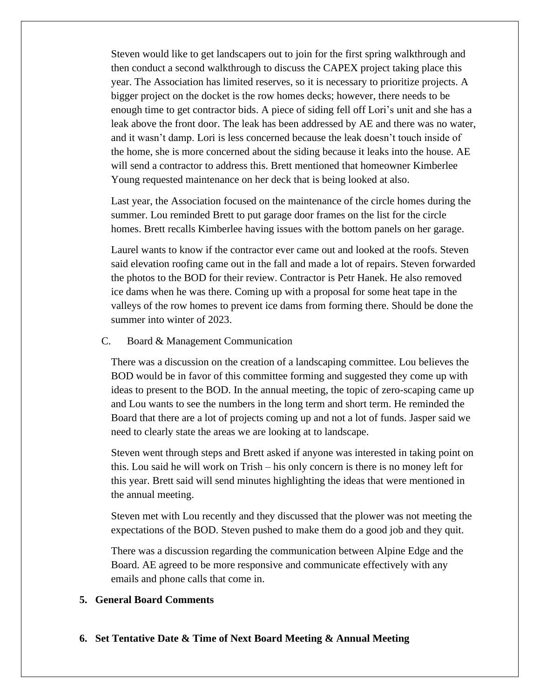Steven would like to get landscapers out to join for the first spring walkthrough and then conduct a second walkthrough to discuss the CAPEX project taking place this year. The Association has limited reserves, so it is necessary to prioritize projects. A bigger project on the docket is the row homes decks; however, there needs to be enough time to get contractor bids. A piece of siding fell off Lori's unit and she has a leak above the front door. The leak has been addressed by AE and there was no water, and it wasn't damp. Lori is less concerned because the leak doesn't touch inside of the home, she is more concerned about the siding because it leaks into the house. AE will send a contractor to address this. Brett mentioned that homeowner Kimberlee Young requested maintenance on her deck that is being looked at also.

Last year, the Association focused on the maintenance of the circle homes during the summer. Lou reminded Brett to put garage door frames on the list for the circle homes. Brett recalls Kimberlee having issues with the bottom panels on her garage.

Laurel wants to know if the contractor ever came out and looked at the roofs. Steven said elevation roofing came out in the fall and made a lot of repairs. Steven forwarded the photos to the BOD for their review. Contractor is Petr Hanek. He also removed ice dams when he was there. Coming up with a proposal for some heat tape in the valleys of the row homes to prevent ice dams from forming there. Should be done the summer into winter of 2023.

#### C. Board & Management Communication

There was a discussion on the creation of a landscaping committee. Lou believes the BOD would be in favor of this committee forming and suggested they come up with ideas to present to the BOD. In the annual meeting, the topic of zero-scaping came up and Lou wants to see the numbers in the long term and short term. He reminded the Board that there are a lot of projects coming up and not a lot of funds. Jasper said we need to clearly state the areas we are looking at to landscape.

Steven went through steps and Brett asked if anyone was interested in taking point on this. Lou said he will work on Trish – his only concern is there is no money left for this year. Brett said will send minutes highlighting the ideas that were mentioned in the annual meeting.

Steven met with Lou recently and they discussed that the plower was not meeting the expectations of the BOD. Steven pushed to make them do a good job and they quit.

There was a discussion regarding the communication between Alpine Edge and the Board. AE agreed to be more responsive and communicate effectively with any emails and phone calls that come in.

#### **5. General Board Comments**

**6. Set Tentative Date & Time of Next Board Meeting & Annual Meeting**